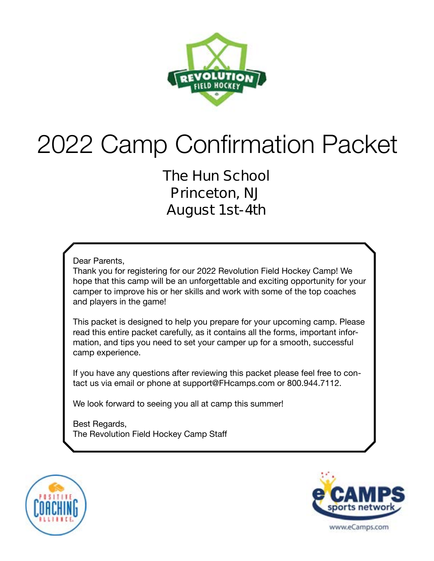

# 2022 Camp Confirmation Packet

**The Hun School Princeton, NJ August 1st-4th** 

Dear Parents,

Thank you for registering for our 2022 Revolution Field Hockey Camp! We hope that this camp will be an unforgettable and exciting opportunity for your camper to improve his or her skills and work with some of the top coaches and players in the game!

This packet is designed to help you prepare for your upcoming camp. Please read this entire packet carefully, as it contains all the forms, important information, and tips you need to set your camper up for a smooth, successful camp experience.

If you have any questions after reviewing this packet please feel free to contact us via email or phone at support@FHcamps.com or 800.944.7112.

We look forward to seeing you all at camp this summer!

Best Regards, The Revolution Field Hockey Camp Staff



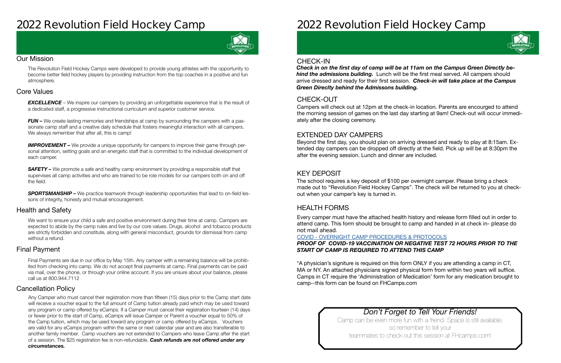## **2022 Revolution Field Hockey Camp**



#### Our Mission

The Revolution Field Hockey Camps were developed to provide young athletes with the opportunity to become better field hockey players by providing instruction from the top coaches in a positive and fun atmosphere.

#### Health and Safety

#### Cancellation Policy

#### Final Payment

We want to ensure your child a safe and positive environment during their time at camp. Campers are expected to abide by the camp rules and live by our core values. Drugs, alcohol and tobacco products are strictly forbidden and constitute, along with general misconduct, grounds for dismissal from camp without a refund.

**EXCELLENCE** – We inspire our campers by providing an unforgettable experience that is the result of a dedicated staff, a progressive instructional curriculum and superior customer service.

*FUN –* We create lasting memories and friendships at camp by surrounding the campers with a passionate camp staff and a creative daily schedule that fosters meaningful interaction with all campers. We always remember that after all, this is camp!

#### Core Values

**IMPROVEMENT** – We provide a unique opportunity for campers to improve their game through personal attention, setting goals and an energetic staff that is committed to the individual development of each camper.

**SAFETY** – We promote a safe and healthy camp environment by providing a responsible staff that supervises all camp activities and who are trained to be role models for our campers both on and off the field.

**SPORTSMANSHIP –** We practice teamwork through leadership opportunities that lead to on-field lessons of integrity, honesty and mutual encouragement.

Final Payments are due in our office by May 15th. Any camper with a remaining balance will be prohibited from checking into camp. We do not accept final payments at camp. Final payments can be paid via mail, over the phone, or through your online account. If you are unsure about your balance, please call us at 800.944.7112

Any Camper who must cancel their registration more than fifteen (15) days prior to the Camp start date will receive a voucher equal to the full amount of Camp tuition already paid which may be used toward any program or camp offered by eCamps. If a Camper must cancel their registration fourteen (14) days or fewer prior to the start of Camp, eCamps will issue Camper or Parent a voucher equal to 50% of the Camp tuition, which may be used toward any program or camp offered by eCamps. Vouchers are valid for any eCamps program within the same or next calendar year and are also transferable to another family member. Camp vouchers are not extended to Campers who leave Camp after the start of a session. The \$25 registration fee is non-refundable. *Cash refunds are not offered under any circumstances.*

## **2022 Revolution Field Hockey Camp**

### *Don't Forget to Tell Your Friends!*

Camp can be even more fun with a friend. Space is still available, so remember to tell your teammates to check out this session at FHcamps.com!



#### CHECK-OUT

#### EXTENDED DAY CAMPERS

#### KEY DEPOSIT

#### HEALTH FORMS

Campers will check out at 12pm at the check-in location. Parents are encourged to attend the morning session of games on the last day starting at 9am! Check-out will occur immediately after the closing ceremony.

Beyond the first day, you should plan on arriving dressed and ready to play at 8:15am. Extended day campers can be dropped off directly at the field. Pick up will be at 8:30pm the after the evening session. Lunch and dinner are included.

The school requires a key deposit of \$100 per overnight camper. Please bring a check made out to "Revolution Field Hockey Camps". The check will be returned to you at checkout when your camper's key is turned in.

Every camper must have the attached health history and release form filled out in order to attend camp. This form should be brought to camp and handed in at check in- **please do not mail ahead**.

#### COVID - [OVERNIGHT CAMP PROCEDURES & PROTOCOLS](https://laxcamps.com/wp-content/uploads/COVID-19-eCamps-Sports-Network-Guidlines-Overnight-Camp.pdf) *PROOF OF COVID-19 VACCINATION OR NEGATIVE TEST 72 HOURS PRIOR TO THE START OF CAMP IS REQUIRED TO ATTEND THIS CAMP*

\*A physician's signiture is required on this form ONLY if you are attending a camp in CT, MA or NY. An attached physicians signed physical form from within two years will suffice. Camps in CT require the 'Administration of Medication' form for any medication brought to camp--this form can be found on FHCamps.com

#### CHECK-IN

*Check in on the first day of camp will be at 11am on the Campus Green Directly behind the admissions building.* Lunch will be the first meal served. All campers should arrive dressed and ready for their first session. *Check-in will take place at the Campus Green Direclty behind the Admissons building.*